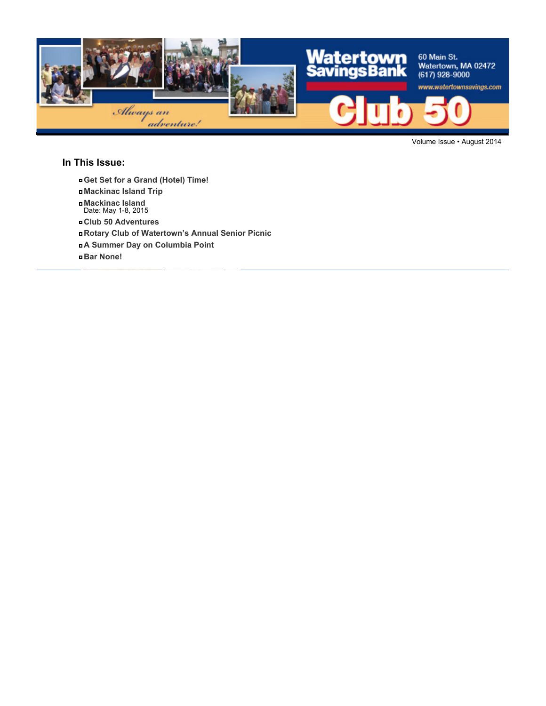

Volume Issue • August 2014

### **In This Issue:**

- **Get Set for a Grand (Hotel) Time!**
- **Mackinac Island Trip**
- **Mackinac Island** Date: May 1-8, 2015
- **Club 50 Adventures**
- **Rotary Club of Watertown's Annual Senior Picnic**
- **A Summer Day on Columbia Point**
- **Bar None!**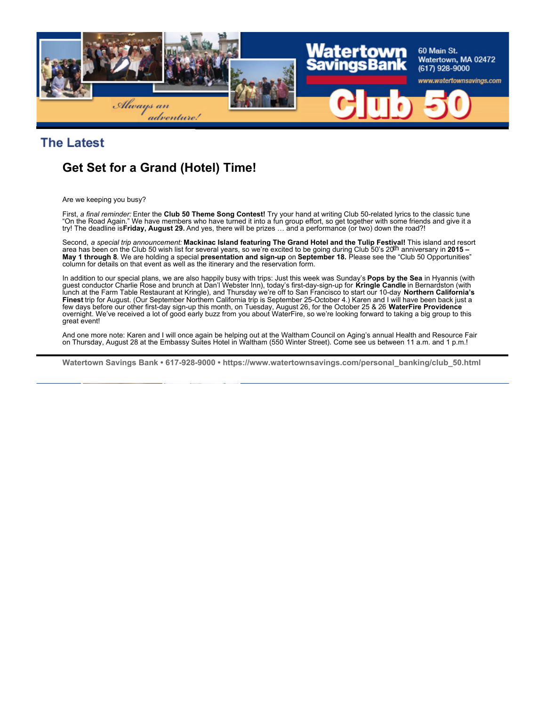

### **The Latest**

## **Get Set for a Grand (Hotel) Time!**

Are we keeping you busy?

First, *a final reminder:* Enter the **Club 50 Theme Song Contest!** Try your hand at writing Club 50-related lyrics to the classic tune "On the Road Again." We have members who have turned it into a fun group effort, so get together with some friends and give it a try! The deadline is **Friday, August 29.** And yes, there will be prizes … and a performance (or two) down the road?!

Second, *a special trip announcement:* **Mackinac Island featuring The Grand Hotel and the Tulip Festival!** This island and resort<br>area has been on the Club 50 wish list for several years, so we're excited to be going durin **May 1 through 8**. We are holding a special **presentation and sign-up** on **September 18.** Please see the "Club 50 Opportunities" column for details on that event as well as the itinerary and the reservation form.

In addition to our special plans, we are also happily busy with trips: Just this week was Sunday's **Pops by the Sea** in Hyannis (with guest conductor Charlie Rose and brunch at Dan'l Webster Inn), today's first-day-sign-up for **Kringle Candle** in Bernardston (with lunch at the Farm Table Restaurant at Kringle), and Thursday we're off to San Francisco to start our 10-day **Northern California's Finest** trip for August. (Our September Northern California trip is September 25-October 4.) Karen and I will have been back just a few days before our other first-day sign-up this month, on Tuesday, August 26, for the October 25 & 26 **WaterFire Providence** overnight. We've received a lot of good early buzz from you about WaterFire, so we're looking forward to taking a big group to this great event!

And one more note: Karen and I will once again be helping out at the Waltham Council on Aging's annual Health and Resource Fair on Thursday, August 28 at the Embassy Suites Hotel in Waltham (550 Winter Street). Come see us between 11 a.m. and 1 p.m.!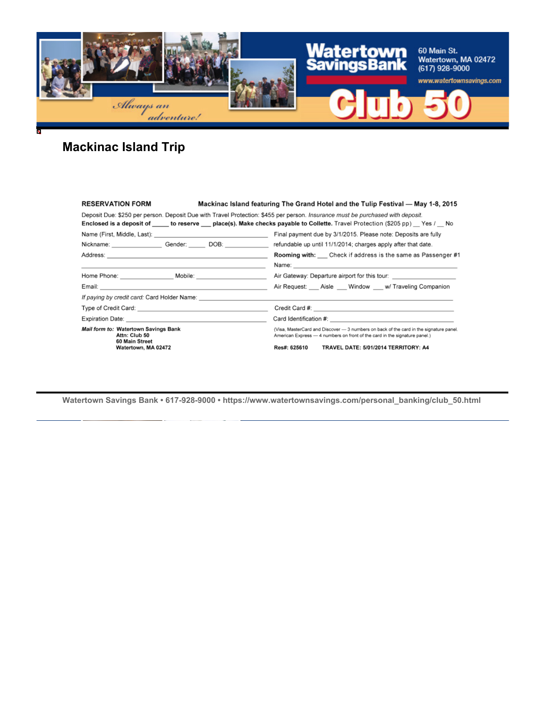

# **Mackinac Island Trip**

| <b>RESERVATION FORM</b>                                                                                                        | Mackinac Island featuring The Grand Hotel and the Tulip Festival — May 1-8, 2015                                                                                     |
|--------------------------------------------------------------------------------------------------------------------------------|----------------------------------------------------------------------------------------------------------------------------------------------------------------------|
| Deposit Due: \$250 per person. Deposit Due with Travel Protection: \$455 per person. Insurance must be purchased with deposit. | Enclosed is a deposit of _____ to reserve ___ place(s). Make checks payable to Collette. Travel Protection (\$205 pp) __ Yes / __ No                                 |
|                                                                                                                                | Final payment due by 3/1/2015. Please note: Deposits are fully                                                                                                       |
| Nickname: Gender: DOB: DOB:                                                                                                    | refundable up until 11/1/2014; charges apply after that date.                                                                                                        |
|                                                                                                                                | <b>Rooming with:</b> Check if address is the same as Passenger #1                                                                                                    |
| <u> 1989 - Jan Samuel Barbara, margaret e seu a componente de la componente de la componente de la componente de</u>           |                                                                                                                                                                      |
| Home Phone: Mobile:                                                                                                            | Air Gateway: Departure airport for this tour:                                                                                                                        |
|                                                                                                                                | Air Request: Aisle Window w/ Traveling Companion                                                                                                                     |
|                                                                                                                                |                                                                                                                                                                      |
|                                                                                                                                |                                                                                                                                                                      |
|                                                                                                                                |                                                                                                                                                                      |
| Mail form to: Watertown Savings Bank<br>Attn: Club 50<br>60 Main Street                                                        | (Visa, MasterCard and Discover - 3 numbers on back of the card in the signature panel.<br>American Express - 4 numbers on front of the card in the signature panel.) |
| Watertown, MA 02472                                                                                                            | TRAVEL DATE: 5/01/2014 TERRITORY: A4<br>Res#: 625610                                                                                                                 |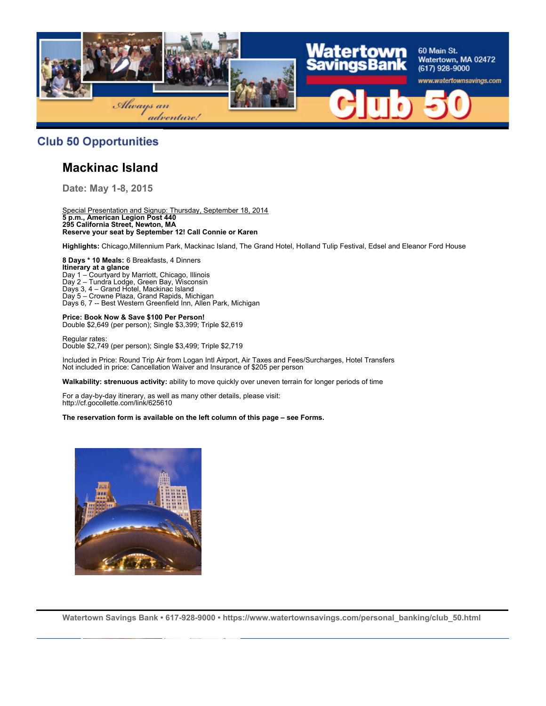

### **Club 50 Opportunities**

## **Mackinac Island**

**Date: May 1-8, 2015**

Special Presentation and Signup: Thursday, September 18, 2014 **5 p.m., American Legion Post 440 295 California Street, Newton, MA Reserve your seat by September 12! Call Connie or Karen**

**Highlights:** Chicago,Millennium Park, Mackinac Island, The Grand Hotel, Holland Tulip Festival, Edsel and Eleanor Ford House

**8 Days \* 10 Meals:** 6 Breakfasts, 4 Dinners **Itinerary at a glance** Day 1 – Courtyard by Marriott, Chicago, Illinois Day 2 – Tundra Lodge, Green Bay, Wisconsin Days 3, 4 – Grand Hotel, Mackinac Island Day 5 – Crowne Plaza, Grand Rapids, Michigan Days 6, 7 -- Best Western Greenfield Inn, Allen Park, Michigan

**Price: Book Now & Save \$100 Per Person!** Double \$2,649 (per person); Single \$3,399; Triple \$2,619

Regular rates: Double \$2,749 (per person); Single \$3,499; Triple \$2,719

Included in Price: Round Trip Air from Logan Intl Airport, Air Taxes and Fees/Surcharges, Hotel Transfers Not included in price: Cancellation Waiver and Insurance of \$205 per person

**Walkability: strenuous activity:** ability to move quickly over uneven terrain for longer periods of time

For a day-by-day itinerary, as well as many other details, please visit: http://cf.gocollette.com/link/625610

**The reservation form is available on the left column of this page – see Forms.**

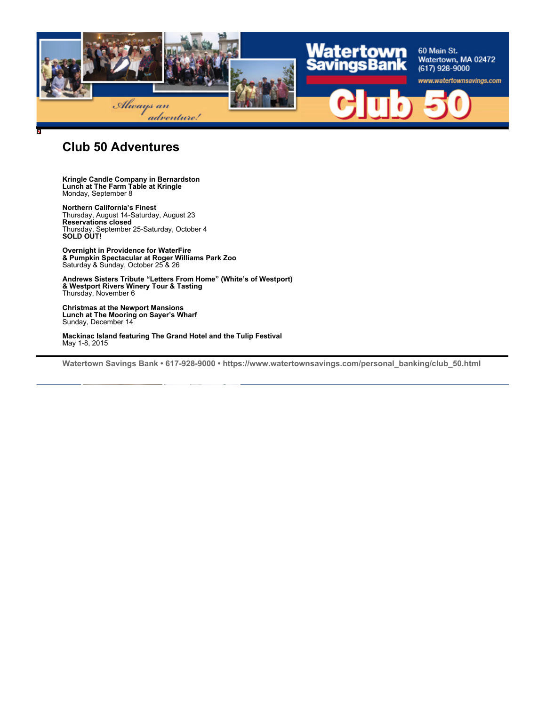

### **Club 50 Adventures**

#### **Kringle Candle Company in Bernardston Lunch at The Farm Table at Kringle** Monday, September 8

**Northern California's Finest** Thursday, August 14-Saturday, August 23 **Reservations closed** Thursday, September 25-Saturday, October 4 **SOLD OUT!**

**Overnight in Providence for WaterFire & Pumpkin Spectacular at Roger Williams Park Zoo** Saturday & Sunday, October 25 & 26

**Andrews Sisters Tribute "Letters From Home" (White's of Westport) & Westport Rivers Winery Tour & Tasting** Thursday, November 6

**Christmas at the Newport Mansions Lunch at The Mooring on Sayer's Wharf** Sunday, December 14

**Mackinac Island featuring The Grand Hotel and the Tulip Festival** May 1-8, 2015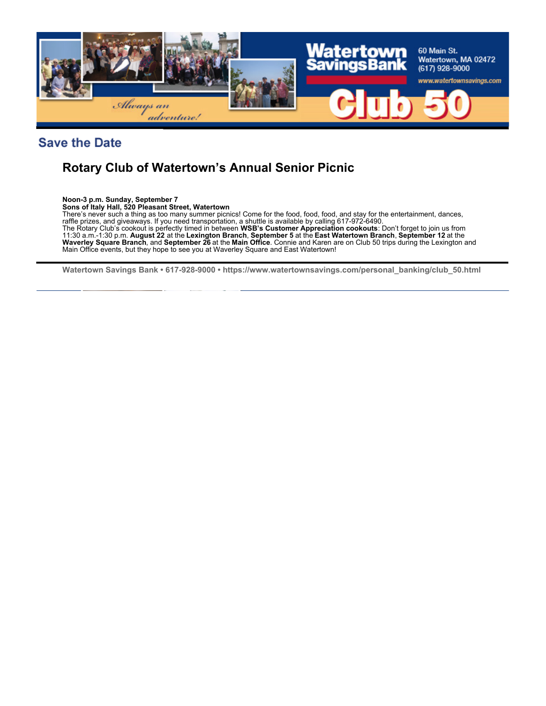

## **Save the Date**

## **Rotary Club of Watertown's Annual Senior Picnic**

**Noon-3 p.m. Sunday, September 7**

**Sons of Italy Hall, 520 Pleasant Street, Watertown**

There's never such a thing as too many summer picnics! Come for the food, food, food, and stay for the entertainment, dances, raffle prizes, and giveaways. If you need transportation, a shuttle is available by calling 617-972-6490. The Rotary Club's cookout is perfectly timed in between **WSB's Customer Appreciation cookouts**: Don't forget to join us from 11:30 a.m.-1:30 p.m. **August 22** at the **Lexington Branch**, **September 5** at the **East Watertown Branch**, **September 12** at the **Waverley Square Branch**, and **September 26** at the **Main Office**. Connie and Karen are on Club 50 trips during the Lexington and Main Office events, but they hope to see you at Waverley Square and East Watertown!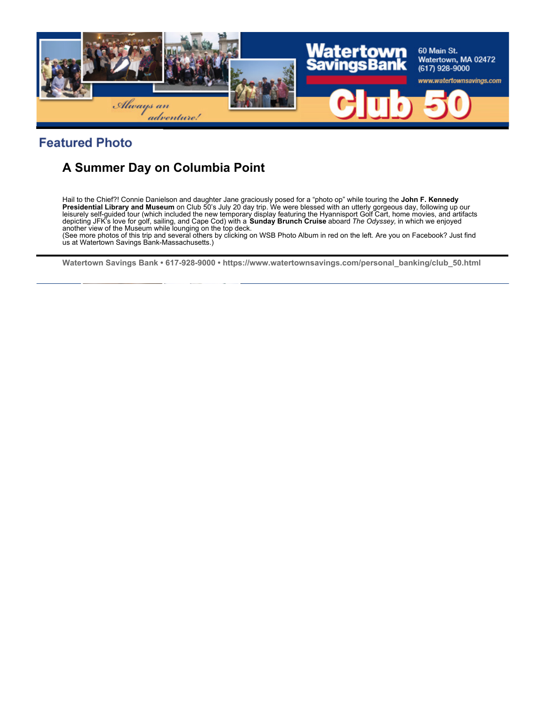

## **Featured Photo**

# **A Summer Day on Columbia Point**

Hail to the Chief?! Connie Danielson and daughter Jane graciously posed for a "photo op" while touring the **John F. Kennedy Presidential Library and Museum** on Club 50's July 20 day trip. We were blessed with an utterly gorgeous day, following up our leisurely self-guided tour (which included the new temporary display featuring the Hyannisport Golf Cart, home movies, and artifacts<br>depicting JFK's love for golf, sailing, and Cape Cod) with a **Sunday Brunch Cruise** aboar another view of the Museum while lounging on the top deck.

(See more photos of this trip and several others by clicking on WSB Photo Album in red on the left. Are you on Facebook? Just find us at Watertown Savings Bank-Massachusetts.)